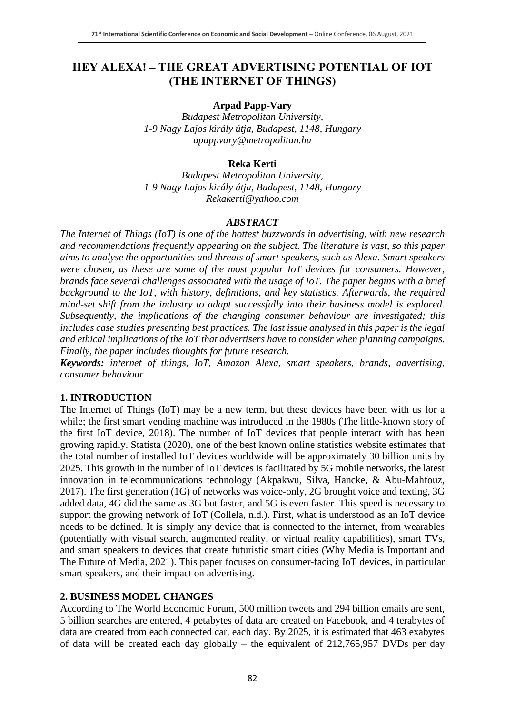## **HEY ALEXA! – THE GREAT ADVERTISING POTENTIAL OF IOT (THE INTERNET OF THINGS)**

#### **Arpad Papp-Vary**

*Budapest Metropolitan University, 1-9 Nagy Lajos király útja, Budapest, 1148, Hungary apappvary@metropolitan.hu*

#### **Reka Kerti**

*Budapest Metropolitan University, 1-9 Nagy Lajos király útja, Budapest, 1148, Hungary Rekakerti@yahoo.com*

#### *ABSTRACT*

*The Internet of Things (IoT) is one of the hottest buzzwords in advertising, with new research and recommendations frequently appearing on the subject. The literature is vast, so this paper aims to analyse the opportunities and threats of smart speakers, such as Alexa. Smart speakers were chosen, as these are some of the most popular IoT devices for consumers. However, brands face several challenges associated with the usage of IoT. The paper begins with a brief background to the IoT, with history, definitions, and key statistics. Afterwards, the required mind-set shift from the industry to adapt successfully into their business model is explored. Subsequently, the implications of the changing consumer behaviour are investigated; this includes case studies presenting best practices. The last issue analysed in this paper is the legal and ethical implications of the IoT that advertisers have to consider when planning campaigns. Finally, the paper includes thoughts for future research.*

*Keywords: internet of things, IoT, Amazon Alexa, smart speakers, brands, advertising, consumer behaviour*

#### **1. INTRODUCTION**

The Internet of Things (IoT) may be a new term, but these devices have been with us for a while; the first smart vending machine was introduced in the 1980s (The little-known story of the first IoT device, 2018). The number of IoT devices that people interact with has been growing rapidly. Statista (2020), one of the best known online statistics website estimates that the total number of installed IoT devices worldwide will be approximately 30 billion units by 2025. This growth in the number of IoT devices is facilitated by 5G mobile networks, the latest innovation in telecommunications technology (Akpakwu, Silva, Hancke, & Abu-Mahfouz, 2017). The first generation (1G) of networks was voice-only, 2G brought voice and texting, 3G added data, 4G did the same as 3G but faster, and 5G is even faster. This speed is necessary to support the growing network of IoT (Collela, n.d.). First, what is understood as an IoT device needs to be defined. It is simply any device that is connected to the internet, from wearables (potentially with visual search, augmented reality, or virtual reality capabilities), smart TVs, and smart speakers to devices that create futuristic smart cities (Why Media is Important and The Future of Media, 2021). This paper focuses on consumer-facing IoT devices, in particular smart speakers, and their impact on advertising.

#### **2. BUSINESS MODEL CHANGES**

According to The World Economic Forum, 500 million tweets and 294 billion emails are sent, 5 billion searches are entered, 4 petabytes of data are created on Facebook, and 4 terabytes of data are created from each connected car, each day. By 2025, it is estimated that 463 exabytes of data will be created each day globally – the equivalent of 212,765,957 DVDs per day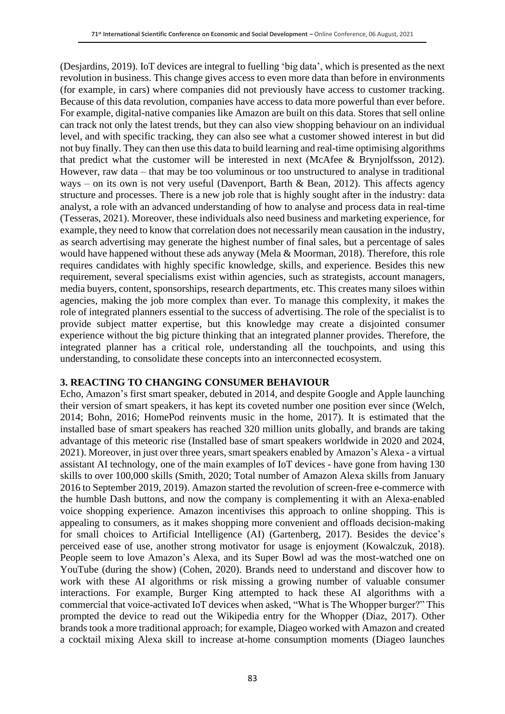(Desjardins, 2019). IoT devices are integral to fuelling 'big data', which is presented as the next revolution in business. This change gives access to even more data than before in environments (for example, in cars) where companies did not previously have access to customer tracking. Because of this data revolution, companies have access to data more powerful than ever before. For example, digital-native companies like Amazon are built on this data. Stores that sell online can track not only the latest trends, but they can also view shopping behaviour on an individual level, and with specific tracking, they can also see what a customer showed interest in but did not buy finally. They can then use this data to build learning and real-time optimising algorithms that predict what the customer will be interested in next (McAfee & Brynjolfsson, 2012). However, raw data – that may be too voluminous or too unstructured to analyse in traditional ways – on its own is not very useful (Davenport, Barth & Bean, 2012). This affects agency structure and processes. There is a new job role that is highly sought after in the industry: data analyst, a role with an advanced understanding of how to analyse and process data in real-time (Tesseras, 2021). Moreover, these individuals also need business and marketing experience, for example, they need to know that correlation does not necessarily mean causation in the industry, as search advertising may generate the highest number of final sales, but a percentage of sales would have happened without these ads anyway (Mela & Moorman, 2018). Therefore, this role requires candidates with highly specific knowledge, skills, and experience. Besides this new requirement, several specialisms exist within agencies, such as strategists, account managers, media buyers, content, sponsorships, research departments, etc. This creates many siloes within agencies, making the job more complex than ever. To manage this complexity, it makes the role of integrated planners essential to the success of advertising. The role of the specialist is to provide subject matter expertise, but this knowledge may create a disjointed consumer experience without the big picture thinking that an integrated planner provides. Therefore, the integrated planner has a critical role, understanding all the touchpoints, and using this understanding, to consolidate these concepts into an interconnected ecosystem.

#### **3. REACTING TO CHANGING CONSUMER BEHAVIOUR**

Echo, Amazon's first smart speaker, debuted in 2014, and despite Google and Apple launching their version of smart speakers, it has kept its coveted number one position ever since (Welch, 2014; Bohn, 2016; HomePod reinvents music in the home, 2017). It is estimated that the installed base of smart speakers has reached 320 million units globally, and brands are taking advantage of this meteoric rise (Installed base of smart speakers worldwide in 2020 and 2024, 2021). Moreover, in just over three years, smart speakers enabled by Amazon's Alexa - a virtual assistant AI technology, one of the main examples of IoT devices - have gone from having 130 skills to over 100,000 skills (Smith, 2020; Total number of Amazon Alexa skills from January 2016 to September 2019, 2019). Amazon started the revolution of screen-free e-commerce with the humble Dash buttons, and now the company is complementing it with an Alexa-enabled voice shopping experience. Amazon incentivises this approach to online shopping. This is appealing to consumers, as it makes shopping more convenient and offloads decision-making for small choices to Artificial Intelligence (AI) (Gartenberg, 2017). Besides the device's perceived ease of use, another strong motivator for usage is enjoyment (Kowalczuk, 2018). People seem to love Amazon's Alexa, and its Super Bowl ad was the most-watched one on YouTube (during the show) (Cohen, 2020). Brands need to understand and discover how to work with these AI algorithms or risk missing a growing number of valuable consumer interactions. For example, Burger King attempted to hack these AI algorithms with a commercial that voice-activated IoT devices when asked, "What is The Whopper burger?" This prompted the device to read out the Wikipedia entry for the Whopper (Diaz, 2017). Other brands took a more traditional approach; for example, Diageo worked with Amazon and created a cocktail mixing Alexa skill to increase at-home consumption moments (Diageo launches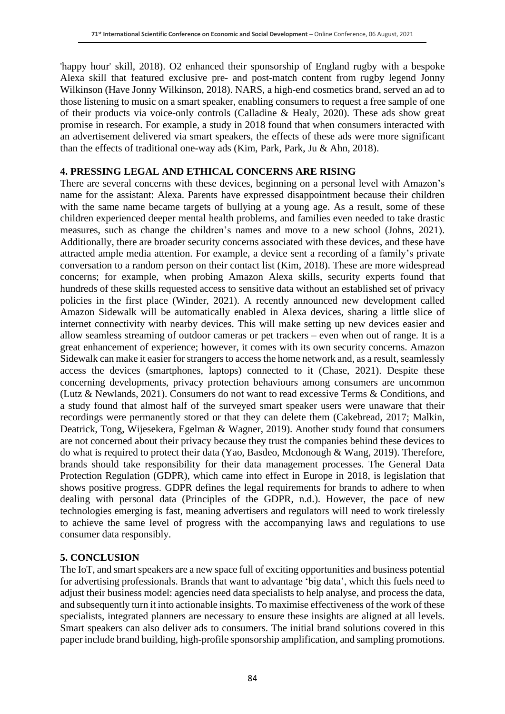'happy hour' skill, 2018). O2 enhanced their sponsorship of England rugby with a bespoke Alexa skill that featured exclusive pre- and post-match content from rugby legend Jonny Wilkinson (Have Jonny Wilkinson, 2018). NARS, a high-end cosmetics brand, served an ad to those listening to music on a smart speaker, enabling consumers to request a free sample of one of their products via voice-only controls (Calladine & Healy, 2020). These ads show great promise in research. For example, a study in 2018 found that when consumers interacted with an advertisement delivered via smart speakers, the effects of these ads were more significant than the effects of traditional one-way ads (Kim, Park, Park, Ju & Ahn, 2018).

### **4. PRESSING LEGAL AND ETHICAL CONCERNS ARE RISING**

There are several concerns with these devices, beginning on a personal level with Amazon's name for the assistant: Alexa. Parents have expressed disappointment because their children with the same name became targets of bullying at a young age. As a result, some of these children experienced deeper mental health problems, and families even needed to take drastic measures, such as change the children's names and move to a new school (Johns, 2021). Additionally, there are broader security concerns associated with these devices, and these have attracted ample media attention. For example, a device sent a recording of a family's private conversation to a random person on their contact list (Kim, 2018). These are more widespread concerns; for example, when probing Amazon Alexa skills, security experts found that hundreds of these skills requested access to sensitive data without an established set of privacy policies in the first place (Winder, 2021). A recently announced new development called Amazon Sidewalk will be automatically enabled in Alexa devices, sharing a little slice of internet connectivity with nearby devices. This will make setting up new devices easier and allow seamless streaming of outdoor cameras or pet trackers – even when out of range. It is a great enhancement of experience; however, it comes with its own security concerns. Amazon Sidewalk can make it easier for strangers to access the home network and, as a result, seamlessly access the devices (smartphones, laptops) connected to it (Chase, 2021). Despite these concerning developments, privacy protection behaviours among consumers are uncommon (Lutz & Newlands, 2021). Consumers do not want to read excessive Terms & Conditions, and a study found that almost half of the surveyed smart speaker users were unaware that their recordings were permanently stored or that they can delete them (Cakebread, 2017; Malkin, Deatrick, Tong, Wijesekera, Egelman & Wagner, 2019). Another study found that consumers are not concerned about their privacy because they trust the companies behind these devices to do what is required to protect their data (Yao, Basdeo, Mcdonough & Wang, 2019). Therefore, brands should take responsibility for their data management processes. The General Data Protection Regulation (GDPR), which came into effect in Europe in 2018, is legislation that shows positive progress. GDPR defines the legal requirements for brands to adhere to when dealing with personal data (Principles of the GDPR, n.d.). However, the pace of new technologies emerging is fast, meaning advertisers and regulators will need to work tirelessly to achieve the same level of progress with the accompanying laws and regulations to use consumer data responsibly.

#### **5. CONCLUSION**

The IoT, and smart speakers are a new space full of exciting opportunities and business potential for advertising professionals. Brands that want to advantage 'big data', which this fuels need to adjust their business model: agencies need data specialists to help analyse, and process the data, and subsequently turn it into actionable insights. To maximise effectiveness of the work of these specialists, integrated planners are necessary to ensure these insights are aligned at all levels. Smart speakers can also deliver ads to consumers. The initial brand solutions covered in this paper include brand building, high-profile sponsorship amplification, and sampling promotions.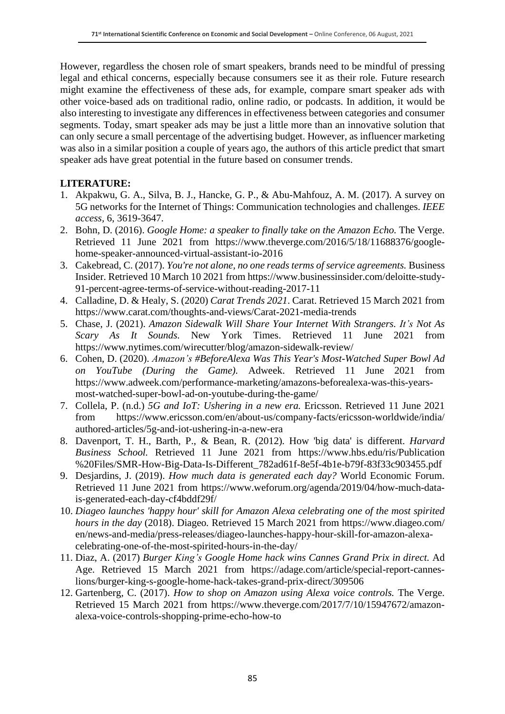However, regardless the chosen role of smart speakers, brands need to be mindful of pressing legal and ethical concerns, especially because consumers see it as their role. Future research might examine the effectiveness of these ads, for example, compare smart speaker ads with other voice-based ads on traditional radio, online radio, or podcasts. In addition, it would be also interesting to investigate any differences in effectiveness between categories and consumer segments. Today, smart speaker ads may be just a little more than an innovative solution that can only secure a small percentage of the advertising budget. However, as influencer marketing was also in a similar position a couple of years ago, the authors of this article predict that smart speaker ads have great potential in the future based on consumer trends.

### **LITERATURE:**

- 1. Akpakwu, G. A., Silva, B. J., Hancke, G. P., & Abu-Mahfouz, A. M. (2017). A survey on 5G networks for the Internet of Things: Communication technologies and challenges. *IEEE access,* 6, 3619-3647.
- 2. Bohn, D. (2016). *Google Home: a speaker to finally take on the Amazon Echo.* The Verge. Retrieved 11 June 2021 from https://www.theverge.com/2016/5/18/11688376/googlehome-speaker-announced-virtual-assistant-io-2016
- 3. Cakebread, C. (2017). *You're not alone, no one reads terms of service agreements.* Business Insider. Retrieved 10 March 10 2021 from https://www.businessinsider.com/deloitte-study-91-percent-agree-terms-of-service-without-reading-2017-11
- 4. Calladine, D. & Healy, S. (2020) *Carat Trends 2021*. Carat. Retrieved 15 March 2021 from https://www.carat.com/thoughts-and-views/Carat-2021-media-trends
- 5. Chase, J. (2021). *Amazon Sidewalk Will Share Your Internet With Strangers. It's Not As Scary As It Sounds.* New York Times. Retrieved 11 June 2021 from https://www.nytimes.com/wirecutter/blog/amazon-sidewalk-review/
- 6. Cohen, D. (2020). *Amazon's #BeforeAlexa Was This Year's Most-Watched Super Bowl Ad on YouTube (During the Game).* Adweek. Retrieved 11 June 2021 from https://www.adweek.com/performance-marketing/amazons-beforealexa-was-this-yearsmost-watched-super-bowl-ad-on-youtube-during-the-game/
- 7. Collela, P. (n.d.) *5G and IoT: Ushering in a new era.* Ericsson. Retrieved 11 June 2021 from https://www.ericsson.com/en/about-us/company-facts/ericsson-worldwide/india/ authored-articles/5g-and-iot-ushering-in-a-new-era
- 8. Davenport, T. H., Barth, P., & Bean, R. (2012). How 'big data' is different. *Harvard Business School.* Retrieved 11 June 2021 from https://www.hbs.edu/ris/Publication %20Files/SMR-How-Big-Data-Is-Different\_782ad61f-8e5f-4b1e-b79f-83f33c903455.pdf
- 9. Desjardins, J. (2019). *How much data is generated each day?* World Economic Forum. Retrieved 11 June 2021 from https://www.weforum.org/agenda/2019/04/how-much-datais-generated-each-day-cf4bddf29f/
- 10. *Diageo launches 'happy hour' skill for Amazon Alexa celebrating one of the most spirited hours in the day* (2018). Diageo*.* Retrieved 15 March 2021 from https://www.diageo.com/ en/news-and-media/press-releases/diageo-launches-happy-hour-skill-for-amazon-alexacelebrating-one-of-the-most-spirited-hours-in-the-day/
- 11. Diaz, A. (2017) *Burger King's Google Home hack wins Cannes Grand Prix in direct.* Ad Age. Retrieved 15 March 2021 from https://adage.com/article/special-report-canneslions/burger-king-s-google-home-hack-takes-grand-prix-direct/309506
- 12. Gartenberg, C. (2017). *How to shop on Amazon using Alexa voice controls.* The Verge. Retrieved 15 March 2021 from https://www.theverge.com/2017/7/10/15947672/amazonalexa-voice-controls-shopping-prime-echo-how-to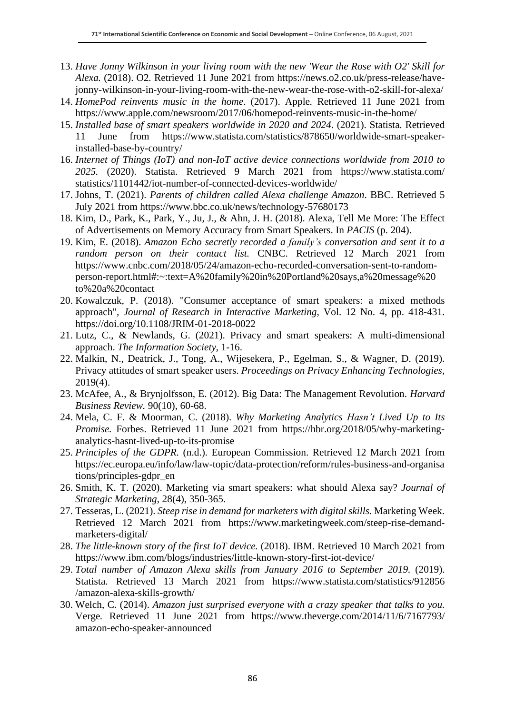- 13. *Have Jonny Wilkinson in your living room with the new 'Wear the Rose with O2' Skill for Alexa.* (2018). O2*.* Retrieved 11 June 2021 from https://news.o2.co.uk/press-release/havejonny-wilkinson-in-your-living-room-with-the-new-wear-the-rose-with-o2-skill-for-alexa/
- 14. *HomePod reinvents music in the home*. (2017). Apple*.* Retrieved 11 June 2021 from https://www.apple.com/newsroom/2017/06/homepod-reinvents-music-in-the-home/
- 15. *Installed base of smart speakers worldwide in 2020 and 2024*. (2021). Statista*.* Retrieved 11 June from https://www.statista.com/statistics/878650/worldwide-smart-speakerinstalled-base-by-country/
- 16. *Internet of Things (IoT) and non-IoT active device connections worldwide from 2010 to 2025.* (2020). Statista. Retrieved 9 March 2021 from https://www.statista.com/ statistics/1101442/iot-number-of-connected-devices-worldwide/
- 17. Johns, T. (2021). *Parents of children called Alexa challenge Amazon*. BBC. Retrieved 5 July 2021 from https://www.bbc.co.uk/news/technology-57680173
- 18. Kim, D., Park, K., Park, Y., Ju, J., & Ahn, J. H. (2018). Alexa, Tell Me More: The Effect of Advertisements on Memory Accuracy from Smart Speakers. In *PACIS* (p. 204).
- 19. Kim, E. (2018). *Amazon Echo secretly recorded a family's conversation and sent it to a random person on their contact list.* CNBC. Retrieved 12 March 2021 from https://www.cnbc.com/2018/05/24/amazon-echo-recorded-conversation-sent-to-randomperson-report.html#:~:text=A%20family%20in%20Portland%20says,a%20message%20 to%20a%20contact
- 20. Kowalczuk, P. (2018). "Consumer acceptance of smart speakers: a mixed methods approach", *Journal of Research in Interactive Marketing*, Vol. 12 No. 4, pp. 418-431. https://doi.org/10.1108/JRIM-01-2018-0022
- 21. Lutz, C., & Newlands, G. (2021). Privacy and smart speakers: A multi-dimensional approach. *The Information Society*, 1-16.
- 22. Malkin, N., Deatrick, J., Tong, A., Wijesekera, P., Egelman, S., & Wagner, D. (2019). Privacy attitudes of smart speaker users. *Proceedings on Privacy Enhancing Technologies*, 2019(4).
- 23. McAfee, A., & Brynjolfsson, E. (2012). Big Data: The Management Revolution. *Harvard Business Review.* 90(10), 60-68.
- 24. Mela, C. F. & Moorman, C. (2018). *Why Marketing Analytics Hasn't Lived Up to Its Promise.* Forbes. Retrieved 11 June 2021 from https://hbr.org/2018/05/why-marketinganalytics-hasnt-lived-up-to-its-promise
- 25. *Principles of the GDPR.* (n.d.). European Commission. Retrieved 12 March 2021 from https://ec.europa.eu/info/law/law-topic/data-protection/reform/rules-business-and-organisa tions/principles-gdpr\_en
- 26. Smith, K. T. (2020). Marketing via smart speakers: what should Alexa say? *Journal of Strategic Marketing*, 28(4), 350-365.
- 27. Tesseras, L. (2021). *Steep rise in demand for marketers with digital skills.* Marketing Week. Retrieved 12 March 2021 from https://www.marketingweek.com/steep-rise-demandmarketers-digital/
- 28. *The little-known story of the first IoT device.* (2018). IBM*.* Retrieved 10 March 2021 from https://www.ibm.com/blogs/industries/little-known-story-first-iot-device/
- 29. *Total number of Amazon Alexa skills from January 2016 to September 2019.* (2019). Statista. Retrieved 13 March 2021 from https://www.statista.com/statistics/912856 /amazon-alexa-skills-growth/
- 30. Welch, C. (2014). *Amazon just surprised everyone with a crazy speaker that talks to you.* Verge*.* Retrieved 11 June 2021 from https://www.theverge.com/2014/11/6/7167793/ amazon-echo-speaker-announced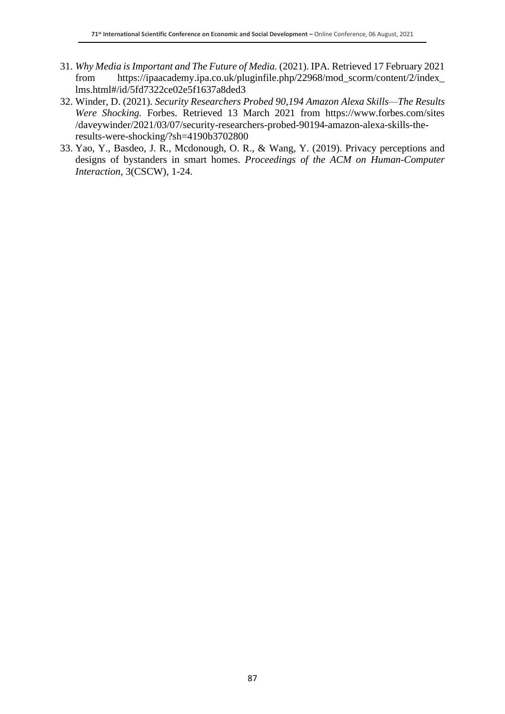- 31. *Why Media isImportant and The Future of Media.* (2021). IPA*.* Retrieved 17 February 2021 from https://ipaacademy.ipa.co.uk/pluginfile.php/22968/mod\_scorm/content/2/index\_ lms.html#/id/5fd7322ce02e5f1637a8ded3
- 32. Winder, D. (2021). *Security Researchers Probed 90,194 Amazon Alexa Skills—The Results Were Shocking.* Forbes. Retrieved 13 March 2021 from https://www.forbes.com/sites /daveywinder/2021/03/07/security-researchers-probed-90194-amazon-alexa-skills-theresults-were-shocking/?sh=4190b3702800
- 33. Yao, Y., Basdeo, J. R., Mcdonough, O. R., & Wang, Y. (2019). Privacy perceptions and designs of bystanders in smart homes. *Proceedings of the ACM on Human-Computer Interaction*, 3(CSCW), 1-24.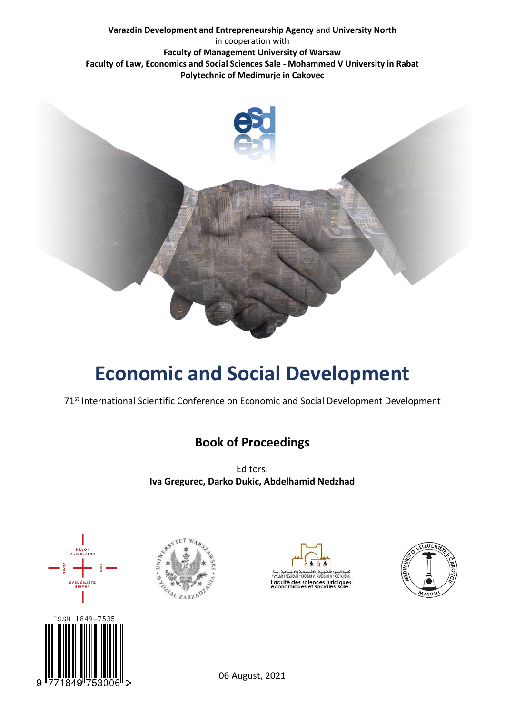#### **Varazdin Development and Entrepreneurship Agency** and **University North** in cooperation with **Faculty of Management University of Warsaw Faculty of Law, Economics and Social Sciences Sale - Mohammed V University in Rabat Polytechnic of Medimurje in Cakovec**



# **Economic and Social Development**

71<sup>st</sup> International Scientific Conference on Economic and Social Development Development

## **Book of Proceedings**

Editors: **Iva Gregurec, Darko Dukic, Abdelhamid Nedzhad**









06 August, 2021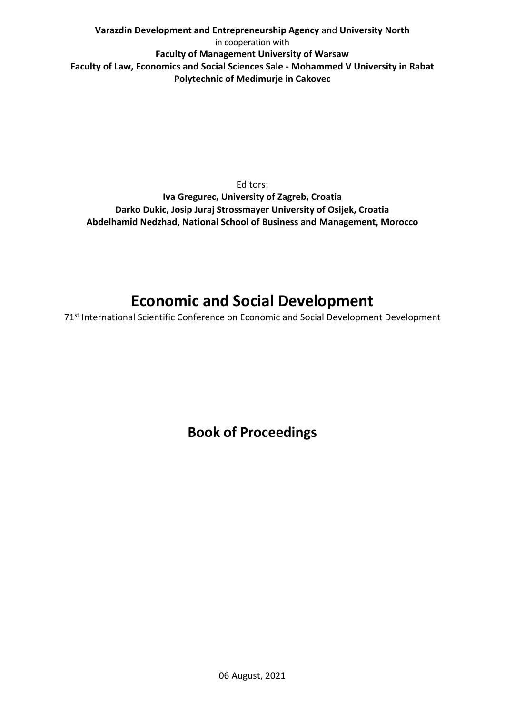**Varazdin Development and Entrepreneurship Agency** and **University North** in cooperation with **Faculty of Management University of Warsaw Faculty of Law, Economics and Social Sciences Sale - Mohammed V University in Rabat Polytechnic of Medimurje in Cakovec**

Editors: **Iva Gregurec, University of Zagreb, Croatia Darko Dukic, Josip Juraj Strossmayer University of Osijek, Croatia Abdelhamid Nedzhad, National School of Business and Management, Morocco**

## **Economic and Social Development**

71<sup>st</sup> International Scientific Conference on Economic and Social Development Development

**Book of Proceedings**